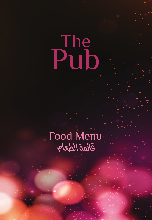# The Pub

# Food Menu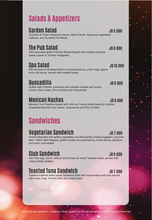# **Salads & Appetizers**

### **Garden Salad JD 5.000**

Consists of Fresh Seasonal Leaves, Black Olives, Seasonal vegetables Julienne, and Sundried Tomatoes.

# **The Pub Salad JD 8.000**

with marinated grilled Chicken Breast topped with toasted pumpkin seeds tossed in Tomato Vinaigrette.

# **Spa Salad JD 10.000**

fine tranches of Smoked Salmon accompanied by onion rings capers and a dill sauce, served with toasted bread.

**QUESADIIIA**<br>stuffed with Chicken, tomatoes and cheddar cheese with spring **JD 9.000** onions, Sour cream, Pico di Gallo and Guacamole.

# **Mexican Nachos JD 9.000**

Mexican Corn Nachos topped with chili con Carne,refried beans & cheddar cheeseServed with sour cream, Guacamole and Pico di Gallo

# **Sandwiches**

# **Vegetarian Sandwich JD 7.000**

French Baguette with grilled vegetables and Mozzarella cheese Eggplant, Zucchini, Red / Yellow Bell Peppers, grilled tomato accompanied by mixed leaves, gherkins and onion marmalade

# **Club Sandwich JD 9.000**

with fried egg, bacon, lettuce and tomato on sliced Toasted bread, served with crispy potato wedges

# **Toasted Tuna Sandwich JD 7.000**

Toasted buttered white bread Sandwich filled with mayonnaise and tuna served with onion rings, French Fries and mixed salad

All prices are quoted in Jordanian Dinar, subject to 5% service charge and 7% government tax.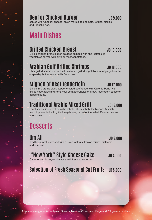### **Beef or Chicken Burger Manual Strategie and AD 9.000**

served with Cheddar cheese, onion marmalade, tomato, lettuce, pickles and French Fries.

# **Main Dishes**

#### **Grilled Chicken Breast And Chicken Breast**

Grilled chicken breast set on sautéed spinach with fine Ratatouille vegetables served with olive oil mashedpotatoes.

# **Arabian Gulf Grilled Shrimps** JD 18.000

Char grilled shrimps served with assorted grilled vegetables in tangy garlic-lemon-parsley butter served with Couscous

# **Mignon of Beef Tenderloin** JD 17.000

Grilled 180 grams black pepper crusted beef tenderloin "Café de Paris" with grilled vegetables and Pont Neuf potatoes Choice of gravy, mushroom sauce or pepper sauce.

# **Traditional Arabic Mixed Grill 30 15.000**

Local specialties selection with "kebab", shish kebab, lamb chops & shish tawook presented with grilled vegetables, mixed onion salad, Oriental rice and shrak bread.

# **Desserts**

**Um Ali JD 3.000** Traditional Arabic dessert with crusted walnuts, Iranian raisins, pistachio and coconut.

#### **"New York" Style Cheese Cake JD 4.000**

Caramel and honeycomb sauce with fresh strawberries.

#### **Selection of Fresh Seasonal Cut Fruits** JD 5.000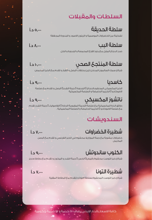# السلطات والمقبلات **Beef or Chicken Burger JD 9.000** برجر اللحم البقري او لحم الدجاج ٩٫٠٠٠ د.أ

#### سلطة الحديقة ٥٫٠٠٠ د.أ

**...**<br>تشكيلة من الخضر اوات الموسمية و الزيتون الاسود و البندورة المجغغة

#### سلطة البب ٨٫٠٠٠ د.أ

صدر الدجاج المتبل مع بذور القرع المحمصة و البندورة و الخل **Grilled Chicken Breast JD 10.000** صدر الدجاج المشوي ١٠٫٠٠٠ د.أ

# سلطة المنتجع الصحي ١٠٫٠٠٠ د.أ جمبري الخليج العربي المشوي ١٨٫٠٠٠ د.أ

شرائح سمك السالمون المدخن تزين بحلقات البصل و القبار و تقدم مع الخبز المحمص **Arabian Gulf Grilled Shrimps JD 18.000** Char grilled shrimps served with assorted grilled vegetables in tangy garlic-lem-مشـــوي على الفحم مع الخضراوات و يقـــدم مع صلصــــة زبدة الثـــوم و الليـــمون مع

#### كاسديا ٩٫٠٠٠ د.أ

الخبز المكسيكي المحشو بالدجاج البندورة جبنة الشدر البصل و تقدم مع صلصة **Mignon of Beef Tenderloin JD 17.000** Grilled 180 grams black pepper crusted beef tenderloin "Café de Paris" with المصر المستيقي المكسوب فتجاب المسورة المستر المستر المستن و يقدم مع الحضرات المستقبل.<br>|- الافوكادو الكريما الحامضة و الصلصة المكسيكية شريحة لحم البقر ١٧٫٠٠٠ د.أ صلصة الفطر او صلصة الفلفل او الصلصة البنية.

# ناتشوز المكسيكي ٩٫٠٠٠ د.أ

ر<br>المقرومة المكسيكية مع صلصة اللحمة المفرومة الحارة الفاصولياء جبنة الشدر تقدم مساوي عربية مش مع صلصة الافوكادو – الكريما الحامضة و الصلصة المكسيكية . كباب شيش كباب كستليتة و شيش طاووق مزينة بالخضراوات المشوية و تقدم مع الارز

# السندويشات

# شطيرة الخضراوات ٧٫٠٠٠ د.أ

احضراوات مشوية مع جبنة الموزاريلا محشوة في الخبز الغرنسي و تقدم مع البصل<br>المكنول المكرمل Traditional Arabic dessert with crusted walnuts, Iranian raisins, pistachio

tawook presented with grilled vegetables, mixed onion salad, Oriental rice and

# الكلوب ساندوتش ٩٫٠٠٠ د.أ

المستط**وب السكوني الساحل للعلم التوس كلمات التوس**<br>- السرائح خبز التوست محشوة بالبيض الخس الجبنة الشدر و البيكون و تقدم مع بطاطا ودجز ا تشيز كيك من كيك د.<br>.

# التونا والتونا التونا <mark>التونا الموسمية الموسمية الموسمية الموسمية ال</mark>موسمية الموسمية الموسمية الموسمية الموسمية

شرائح خبز التوست المحشوة بسلطة التونا و تتقدم مع البطاطا المقلية

كافة الاسعار بالدنار الاردني يضاف ٪٥ خدمة و ٪٧ ضريبة حكومية All prices are quoted in Jordanian Dinar, subject to 5% service charge and 7% government tax. كافة الاسعار بالدنار الاردني يضاف ٪٥ خدمة و ٪٧ ضريبة حكومية